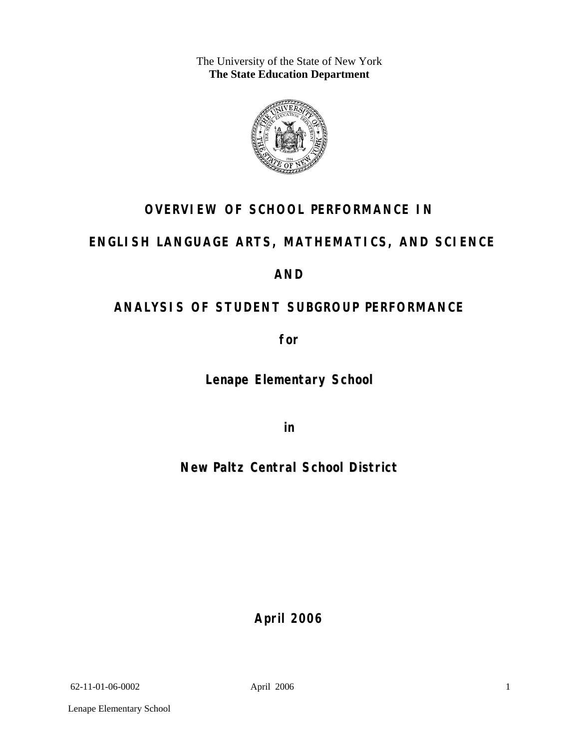The University of the State of New York **The State Education Department** 



# **OVERVIEW OF SCHOOL PERFORMANCE IN**

# **ENGLISH LANGUAGE ARTS, MATHEMATICS, AND SCIENCE**

# **AND**

# **ANALYSIS OF STUDENT SUBGROUP PERFORMANCE**

**for** 

**Lenape Elementary School**

**in** 

**New Paltz Central School District**

**April 2006**

62-11-01-06-0002 April 2006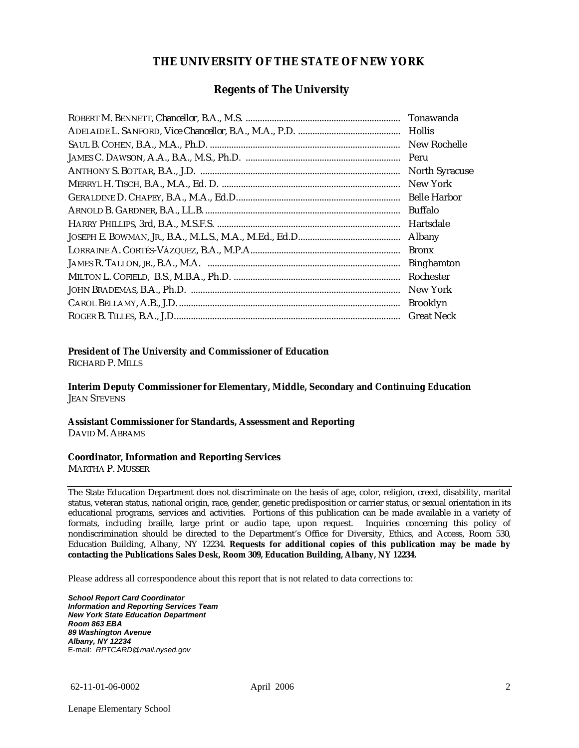#### **THE UNIVERSITY OF THE STATE OF NEW YORK**

#### **Regents of The University**

| Tonawanda             |
|-----------------------|
| Hollis                |
| New Rochelle          |
| Peru                  |
| <b>North Syracuse</b> |
| New York              |
|                       |
| Buffalo               |
| Hartsdale             |
| Albany                |
| <b>Bronx</b>          |
| <b>Binghamton</b>     |
| Rochester             |
| New York              |
| <b>Brooklyn</b>       |
| <b>Great Neck</b>     |

#### **President of The University and Commissioner of Education**

RICHARD P. MILLS

**Interim Deputy Commissioner for Elementary, Middle, Secondary and Continuing Education**  JEAN STEVENS

#### **Assistant Commissioner for Standards, Assessment and Reporting**  DAVID M. ABRAMS

#### **Coordinator, Information and Reporting Services**

MARTHA P. MUSSER

The State Education Department does not discriminate on the basis of age, color, religion, creed, disability, marital status, veteran status, national origin, race, gender, genetic predisposition or carrier status, or sexual orientation in its educational programs, services and activities. Portions of this publication can be made available in a variety of formats, including braille, large print or audio tape, upon request. Inquiries concerning this policy of nondiscrimination should be directed to the Department's Office for Diversity, Ethics, and Access, Room 530, Education Building, Albany, NY 12234. **Requests for additional copies of this publication may be made by contacting the Publications Sales Desk, Room 309, Education Building, Albany, NY 12234.** 

Please address all correspondence about this report that is not related to data corrections to:

*School Report Card Coordinator Information and Reporting Services Team New York State Education Department Room 863 EBA 89 Washington Avenue Albany, NY 12234*  E-mail: *RPTCARD@mail.nysed.gov*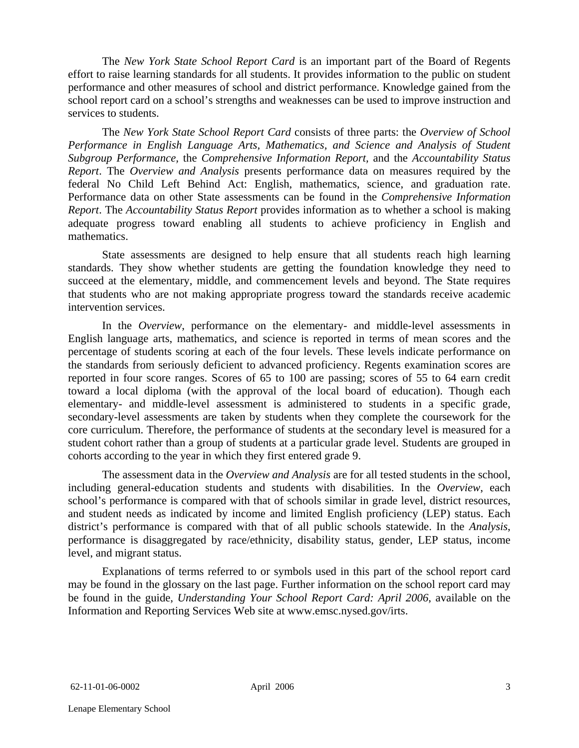The *New York State School Report Card* is an important part of the Board of Regents effort to raise learning standards for all students. It provides information to the public on student performance and other measures of school and district performance. Knowledge gained from the school report card on a school's strengths and weaknesses can be used to improve instruction and services to students.

The *New York State School Report Card* consists of three parts: the *Overview of School Performance in English Language Arts, Mathematics, and Science and Analysis of Student Subgroup Performance,* the *Comprehensive Information Report,* and the *Accountability Status Report*. The *Overview and Analysis* presents performance data on measures required by the federal No Child Left Behind Act: English, mathematics, science, and graduation rate. Performance data on other State assessments can be found in the *Comprehensive Information Report*. The *Accountability Status Report* provides information as to whether a school is making adequate progress toward enabling all students to achieve proficiency in English and mathematics.

State assessments are designed to help ensure that all students reach high learning standards. They show whether students are getting the foundation knowledge they need to succeed at the elementary, middle, and commencement levels and beyond. The State requires that students who are not making appropriate progress toward the standards receive academic intervention services.

In the *Overview*, performance on the elementary- and middle-level assessments in English language arts, mathematics, and science is reported in terms of mean scores and the percentage of students scoring at each of the four levels. These levels indicate performance on the standards from seriously deficient to advanced proficiency. Regents examination scores are reported in four score ranges. Scores of 65 to 100 are passing; scores of 55 to 64 earn credit toward a local diploma (with the approval of the local board of education). Though each elementary- and middle-level assessment is administered to students in a specific grade, secondary-level assessments are taken by students when they complete the coursework for the core curriculum. Therefore, the performance of students at the secondary level is measured for a student cohort rather than a group of students at a particular grade level. Students are grouped in cohorts according to the year in which they first entered grade 9.

The assessment data in the *Overview and Analysis* are for all tested students in the school, including general-education students and students with disabilities. In the *Overview*, each school's performance is compared with that of schools similar in grade level, district resources, and student needs as indicated by income and limited English proficiency (LEP) status. Each district's performance is compared with that of all public schools statewide. In the *Analysis*, performance is disaggregated by race/ethnicity, disability status, gender, LEP status, income level, and migrant status.

Explanations of terms referred to or symbols used in this part of the school report card may be found in the glossary on the last page. Further information on the school report card may be found in the guide, *Understanding Your School Report Card: April 2006*, available on the Information and Reporting Services Web site at www.emsc.nysed.gov/irts.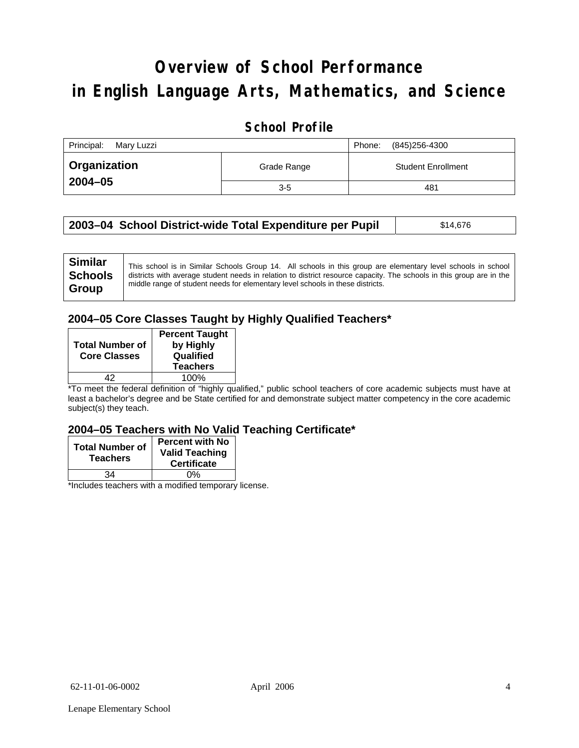# **Overview of School Performance in English Language Arts, Mathematics, and Science**

## **School Profile**

| Principal:<br>Mary Luzzi |             | (845)256-4300<br>Phone:   |
|--------------------------|-------------|---------------------------|
| Organization             | Grade Range | <b>Student Enrollment</b> |
| $2004 - 05$              | $3-5$       | 481                       |

| 2003–04 School District-wide Total Expenditure per Pupil | \$14,676 |
|----------------------------------------------------------|----------|
|----------------------------------------------------------|----------|

## **2004–05 Core Classes Taught by Highly Qualified Teachers\***

| <b>Total Number of</b><br><b>Core Classes</b> | <b>Percent Taught</b><br>by Highly<br>Qualified<br><b>Teachers</b> |
|-----------------------------------------------|--------------------------------------------------------------------|
|                                               | 100%                                                               |

\*To meet the federal definition of "highly qualified," public school teachers of core academic subjects must have at least a bachelor's degree and be State certified for and demonstrate subject matter competency in the core academic subject(s) they teach.

#### **2004–05 Teachers with No Valid Teaching Certificate\***

| <b>Total Number of</b><br><b>Teachers</b> | <b>Percent with No</b><br><b>Valid Teaching</b><br><b>Certificate</b> |
|-------------------------------------------|-----------------------------------------------------------------------|
| ۹4                                        | 0%                                                                    |
| $\mathbf{A}$<br>$\cdots$                  |                                                                       |

\*Includes teachers with a modified temporary license.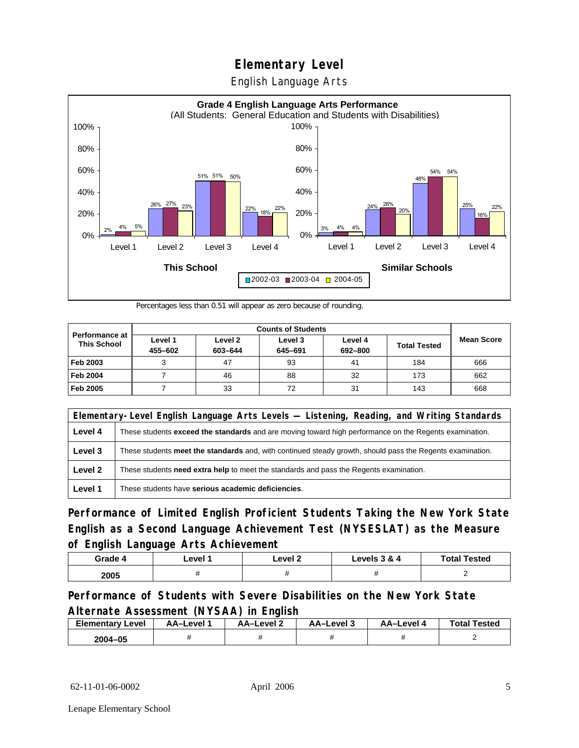English Language Arts



Percentages less than 0.51 will appear as zero because of rounding.

|                                             | <b>Counts of Students</b> |                    |                    |                    |                     |                   |
|---------------------------------------------|---------------------------|--------------------|--------------------|--------------------|---------------------|-------------------|
| <b>Performance at</b><br><b>This School</b> | Level 1<br>455-602        | Level 2<br>603-644 | Level 3<br>645-691 | Level 4<br>692-800 | <b>Total Tested</b> | <b>Mean Score</b> |
| Feb 2003                                    |                           | 47                 | 93                 | 41                 | 184                 | 666               |
| <b>Feb 2004</b>                             |                           | 46                 | 88                 | 32                 | 173                 | 662               |
| Feb 2005                                    |                           | 33                 | 72                 | 31                 | 143                 | 668               |

| Elementary-Level English Language Arts Levels — Listening, Reading, and Writing Standards |                                                                                                               |  |
|-------------------------------------------------------------------------------------------|---------------------------------------------------------------------------------------------------------------|--|
| Level 4                                                                                   | These students <b>exceed the standards</b> and are moving toward high performance on the Regents examination. |  |
| Level 3                                                                                   | These students meet the standards and, with continued steady growth, should pass the Regents examination.     |  |
| Level 2                                                                                   | These students need extra help to meet the standards and pass the Regents examination.                        |  |
| Level 1                                                                                   | These students have serious academic deficiencies.                                                            |  |

**Performance of Limited English Proficient Students Taking the New York State English as a Second Language Achievement Test (NYSESLAT) as the Measure of English Language Arts Achievement**

| Grade 4 | _evel | Level 2 | Levels 3 & 4 | <b>Total Tested</b> |
|---------|-------|---------|--------------|---------------------|
| 2005    |       |         |              |                     |

**Performance of Students with Severe Disabilities on the New York State Alternate Assessment (NYSAA) in English** 

| <b>Elementary Level</b> | AA-Level | AA-Level 2 | AA-Level 3 | <b>AA-Level 4</b> | <b>Total Tested</b> |
|-------------------------|----------|------------|------------|-------------------|---------------------|
| 2004-05                 |          |            |            |                   |                     |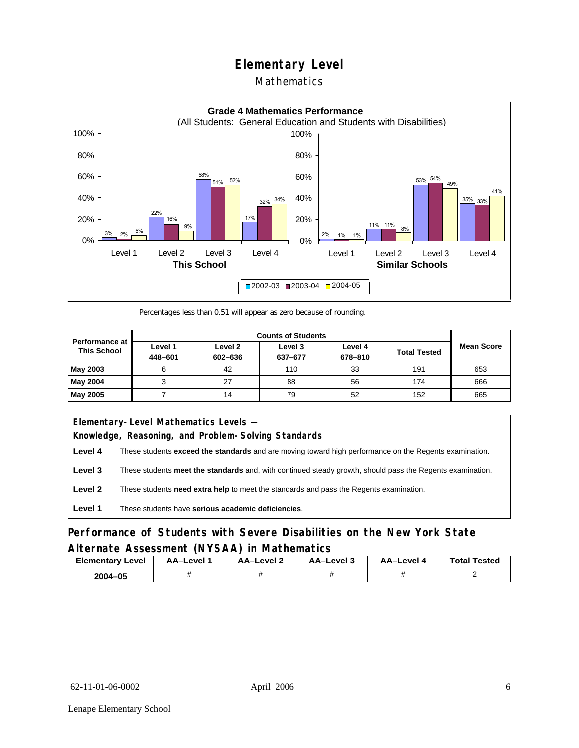## Mathematics



Percentages less than 0.51 will appear as zero because of rounding.

|                                             | <b>Counts of Students</b> |                    |                    |                    |                     |                   |
|---------------------------------------------|---------------------------|--------------------|--------------------|--------------------|---------------------|-------------------|
| <b>Performance at</b><br><b>This School</b> | Level 1<br>448-601        | Level 2<br>602-636 | Level 3<br>637-677 | Level 4<br>678-810 | <b>Total Tested</b> | <b>Mean Score</b> |
| May 2003                                    | 6                         | 42                 | 110                | 33                 | 191                 | 653               |
| May 2004                                    |                           | 27                 | 88                 | 56                 | 174                 | 666               |
| May 2005                                    |                           | 14                 | 79                 | 52                 | 152                 | 665               |

|         | Elementary-Level Mathematics Levels -                                                                     |  |  |
|---------|-----------------------------------------------------------------------------------------------------------|--|--|
|         | Knowledge, Reasoning, and Problem-Solving Standards                                                       |  |  |
| Level 4 | These students exceed the standards and are moving toward high performance on the Regents examination.    |  |  |
| Level 3 | These students meet the standards and, with continued steady growth, should pass the Regents examination. |  |  |
| Level 2 | These students need extra help to meet the standards and pass the Regents examination.                    |  |  |
| Level 1 | These students have serious academic deficiencies.                                                        |  |  |

### **Performance of Students with Severe Disabilities on the New York State Alternate Assessment (NYSAA) in Mathematics**

| Elementary<br>Level | AA–Level | – AA–Level ∠ | د AA–Level | AA-Level . | <b>Total Tested</b> |
|---------------------|----------|--------------|------------|------------|---------------------|
| 2004-05             |          |              |            |            |                     |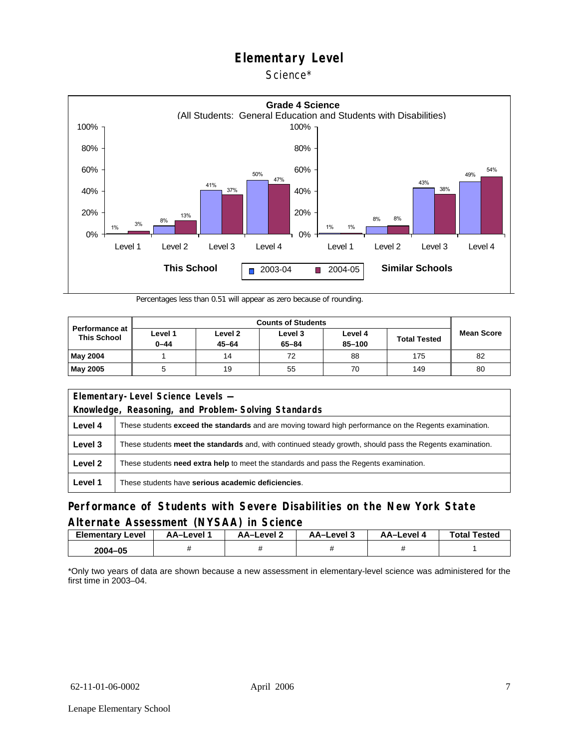



Percentages less than 0.51 will appear as zero because of rounding.

| <b>Performance at</b><br><b>This School</b> |                     |                      |                      |                   |                     |                   |
|---------------------------------------------|---------------------|----------------------|----------------------|-------------------|---------------------|-------------------|
|                                             | Level 1<br>$0 - 44$ | Level 2<br>$45 - 64$ | Level 3<br>$65 - 84$ | Level 4<br>85-100 | <b>Total Tested</b> | <b>Mean Score</b> |
| <b>May 2004</b>                             |                     | 14                   | 72                   | 88                | 175                 | 82                |
| <b>May 2005</b>                             |                     | 19                   | 55                   | 70                | 149                 | 80                |

| Elementary-Level Science Levels -<br>Knowledge, Reasoning, and Problem-Solving Standards |                                                                                                               |  |  |  |  |  |  |
|------------------------------------------------------------------------------------------|---------------------------------------------------------------------------------------------------------------|--|--|--|--|--|--|
| Level 4                                                                                  | These students <b>exceed the standards</b> and are moving toward high performance on the Regents examination. |  |  |  |  |  |  |
| Level 3                                                                                  | These students meet the standards and, with continued steady growth, should pass the Regents examination.     |  |  |  |  |  |  |
| Level 2                                                                                  | These students <b>need extra help</b> to meet the standards and pass the Regents examination.                 |  |  |  |  |  |  |
| Level 1                                                                                  | These students have serious academic deficiencies.                                                            |  |  |  |  |  |  |

### **Performance of Students with Severe Disabilities on the New York State Alternate Assessment (NYSAA) in Science**

| <b>Elementary Level</b> | AA-Level | AA–Level ∠ | د AA–Level | AA–Level 4 | <b>Total Tested</b> |
|-------------------------|----------|------------|------------|------------|---------------------|
| 2004-05                 |          |            |            |            |                     |

\*Only two years of data are shown because a new assessment in elementary-level science was administered for the first time in 2003–04.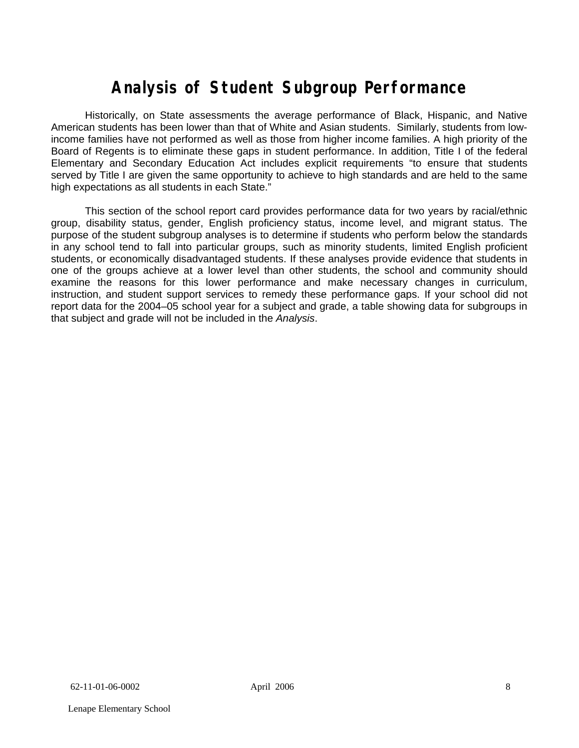# **Analysis of Student Subgroup Performance**

Historically, on State assessments the average performance of Black, Hispanic, and Native American students has been lower than that of White and Asian students. Similarly, students from lowincome families have not performed as well as those from higher income families. A high priority of the Board of Regents is to eliminate these gaps in student performance. In addition, Title I of the federal Elementary and Secondary Education Act includes explicit requirements "to ensure that students served by Title I are given the same opportunity to achieve to high standards and are held to the same high expectations as all students in each State."

This section of the school report card provides performance data for two years by racial/ethnic group, disability status, gender, English proficiency status, income level, and migrant status. The purpose of the student subgroup analyses is to determine if students who perform below the standards in any school tend to fall into particular groups, such as minority students, limited English proficient students, or economically disadvantaged students. If these analyses provide evidence that students in one of the groups achieve at a lower level than other students, the school and community should examine the reasons for this lower performance and make necessary changes in curriculum, instruction, and student support services to remedy these performance gaps. If your school did not report data for the 2004–05 school year for a subject and grade, a table showing data for subgroups in that subject and grade will not be included in the *Analysis*.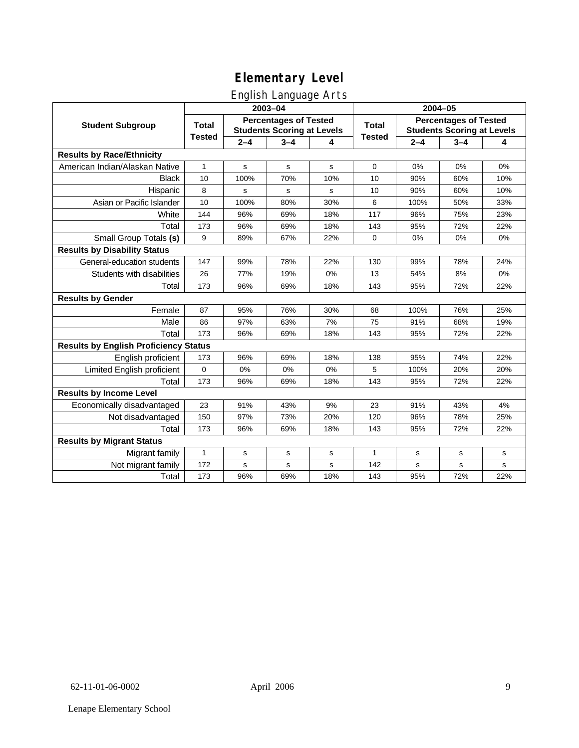## English Language Arts

|                                              |               |                                                                   | ັ<br>2003-04 |             | 2004-05       |                                                                   |         |     |
|----------------------------------------------|---------------|-------------------------------------------------------------------|--------------|-------------|---------------|-------------------------------------------------------------------|---------|-----|
| <b>Student Subgroup</b>                      | <b>Total</b>  | <b>Percentages of Tested</b><br><b>Students Scoring at Levels</b> |              |             | <b>Total</b>  | <b>Percentages of Tested</b><br><b>Students Scoring at Levels</b> |         |     |
|                                              | <b>Tested</b> | $2 - 4$                                                           | $3 - 4$      | 4           | <b>Tested</b> | $2 - 4$                                                           | $3 - 4$ | 4   |
| <b>Results by Race/Ethnicity</b>             |               |                                                                   |              |             |               |                                                                   |         |     |
| American Indian/Alaskan Native               | $\mathbf{1}$  | s                                                                 | ${\bf s}$    | $\mathbf s$ | $\mathbf 0$   | 0%                                                                | 0%      | 0%  |
| <b>Black</b>                                 | 10            | 100%                                                              | 70%          | 10%         | 10            | 90%                                                               | 60%     | 10% |
| Hispanic                                     | 8             | s                                                                 | s            | s           | 10            | 90%                                                               | 60%     | 10% |
| Asian or Pacific Islander                    | 10            | 100%                                                              | 80%          | 30%         | 6             | 100%                                                              | 50%     | 33% |
| White                                        | 144           | 96%                                                               | 69%          | 18%         | 117           | 96%                                                               | 75%     | 23% |
| Total                                        | 173           | 96%                                                               | 69%          | 18%         | 143           | 95%                                                               | 72%     | 22% |
| Small Group Totals (s)                       | 9             | 89%                                                               | 67%          | 22%         | 0             | 0%                                                                | 0%      | 0%  |
| <b>Results by Disability Status</b>          |               |                                                                   |              |             |               |                                                                   |         |     |
| General-education students                   | 147           | 99%                                                               | 78%          | 22%         | 130           | 99%                                                               | 78%     | 24% |
| Students with disabilities                   | 26            | 77%                                                               | 19%          | 0%          | 13            | 54%                                                               | 8%      | 0%  |
| Total                                        | 173           | 96%                                                               | 69%          | 18%         | 143           | 95%                                                               | 72%     | 22% |
| <b>Results by Gender</b>                     |               |                                                                   |              |             |               |                                                                   |         |     |
| Female                                       | 87            | 95%                                                               | 76%          | 30%         | 68            | 100%                                                              | 76%     | 25% |
| Male                                         | 86            | 97%                                                               | 63%          | 7%          | 75            | 91%                                                               | 68%     | 19% |
| Total                                        | 173           | 96%                                                               | 69%          | 18%         | 143           | 95%                                                               | 72%     | 22% |
| <b>Results by English Proficiency Status</b> |               |                                                                   |              |             |               |                                                                   |         |     |
| English proficient                           | 173           | 96%                                                               | 69%          | 18%         | 138           | 95%                                                               | 74%     | 22% |
| Limited English proficient                   | $\Omega$      | 0%                                                                | 0%           | 0%          | 5             | 100%                                                              | 20%     | 20% |
| Total                                        | 173           | 96%                                                               | 69%          | 18%         | 143           | 95%                                                               | 72%     | 22% |
| <b>Results by Income Level</b>               |               |                                                                   |              |             |               |                                                                   |         |     |
| Economically disadvantaged                   | 23            | 91%                                                               | 43%          | 9%          | 23            | 91%                                                               | 43%     | 4%  |
| Not disadvantaged                            | 150           | 97%                                                               | 73%          | 20%         | 120           | 96%                                                               | 78%     | 25% |
| Total                                        | 173           | 96%                                                               | 69%          | 18%         | 143           | 95%                                                               | 72%     | 22% |
| <b>Results by Migrant Status</b>             |               |                                                                   |              |             |               |                                                                   |         |     |
| Migrant family                               | $\mathbf{1}$  | s                                                                 | s            | s           | $\mathbf{1}$  | s                                                                 | s       | s   |
| Not migrant family                           | 172           | s                                                                 | s            | s           | 142           | s                                                                 | s       | s   |
| Total                                        | 173           | 96%                                                               | 69%          | 18%         | 143           | 95%                                                               | 72%     | 22% |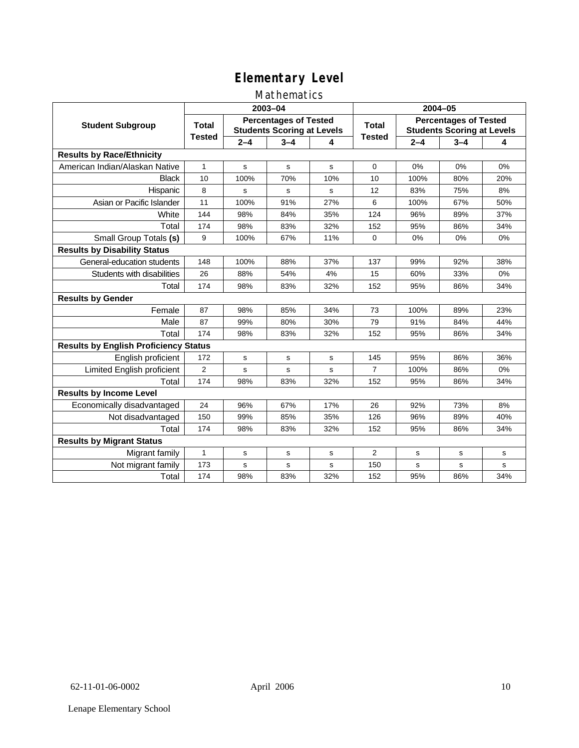## Mathematics

|                                              |                |         | 2003-04     |                                                                   | 2004-05        |                                                                   |         |     |  |
|----------------------------------------------|----------------|---------|-------------|-------------------------------------------------------------------|----------------|-------------------------------------------------------------------|---------|-----|--|
| <b>Student Subgroup</b>                      | <b>Total</b>   |         |             | <b>Percentages of Tested</b><br><b>Students Scoring at Levels</b> |                | <b>Percentages of Tested</b><br><b>Students Scoring at Levels</b> |         |     |  |
|                                              | <b>Tested</b>  | $2 - 4$ | $3 - 4$     | 4                                                                 | <b>Tested</b>  | $2 - 4$                                                           | $3 - 4$ | 4   |  |
| <b>Results by Race/Ethnicity</b>             |                |         |             |                                                                   |                |                                                                   |         |     |  |
| American Indian/Alaskan Native               | $\mathbf{1}$   | s       | s           | s                                                                 | $\Omega$       | 0%                                                                | 0%      | 0%  |  |
| <b>Black</b>                                 | 10             | 100%    | 70%         | 10%                                                               | 10             | 100%                                                              | 80%     | 20% |  |
| Hispanic                                     | 8              | s       | s           | s                                                                 | 12             | 83%                                                               | 75%     | 8%  |  |
| Asian or Pacific Islander                    | 11             | 100%    | 91%         | 27%                                                               | 6              | 100%                                                              | 67%     | 50% |  |
| White                                        | 144            | 98%     | 84%         | 35%                                                               | 124            | 96%                                                               | 89%     | 37% |  |
| Total                                        | 174            | 98%     | 83%         | 32%                                                               | 152            | 95%                                                               | 86%     | 34% |  |
| Small Group Totals (s)                       | 9              | 100%    | 67%         | 11%                                                               | $\Omega$       | 0%                                                                | 0%      | 0%  |  |
| <b>Results by Disability Status</b>          |                |         |             |                                                                   |                |                                                                   |         |     |  |
| General-education students                   | 148            | 100%    | 88%         | 37%                                                               | 137            | 99%                                                               | 92%     | 38% |  |
| Students with disabilities                   | 26             | 88%     | 54%         | 4%                                                                | 15             | 60%                                                               | 33%     | 0%  |  |
| Total                                        | 174            | 98%     | 83%         | 32%                                                               | 152            | 95%                                                               | 86%     | 34% |  |
| <b>Results by Gender</b>                     |                |         |             |                                                                   |                |                                                                   |         |     |  |
| Female                                       | 87             | 98%     | 85%         | 34%                                                               | 73             | 100%                                                              | 89%     | 23% |  |
| Male                                         | 87             | 99%     | 80%         | 30%                                                               | 79             | 91%                                                               | 84%     | 44% |  |
| Total                                        | 174            | 98%     | 83%         | 32%                                                               | 152            | 95%                                                               | 86%     | 34% |  |
| <b>Results by English Proficiency Status</b> |                |         |             |                                                                   |                |                                                                   |         |     |  |
| English proficient                           | 172            | s       | s           | s                                                                 | 145            | 95%                                                               | 86%     | 36% |  |
| <b>Limited English proficient</b>            | $\overline{2}$ | s       | $\mathbf s$ | s                                                                 | $\overline{7}$ | 100%                                                              | 86%     | 0%  |  |
| Total                                        | 174            | 98%     | 83%         | 32%                                                               | 152            | 95%                                                               | 86%     | 34% |  |
| <b>Results by Income Level</b>               |                |         |             |                                                                   |                |                                                                   |         |     |  |
| Economically disadvantaged                   | 24             | 96%     | 67%         | 17%                                                               | 26             | 92%                                                               | 73%     | 8%  |  |
| Not disadvantaged                            | 150            | 99%     | 85%         | 35%                                                               | 126            | 96%                                                               | 89%     | 40% |  |
| Total                                        | 174            | 98%     | 83%         | 32%                                                               | 152            | 95%                                                               | 86%     | 34% |  |
| <b>Results by Migrant Status</b>             |                |         |             |                                                                   |                |                                                                   |         |     |  |
| Migrant family                               | $\mathbf{1}$   | s       | s           | s                                                                 | 2              | s                                                                 | s       | s   |  |
| Not migrant family                           | 173            | s       | $\mathbf s$ | s                                                                 | 150            | s                                                                 | s       | s   |  |
| Total                                        | 174            | 98%     | 83%         | 32%                                                               | 152            | 95%                                                               | 86%     | 34% |  |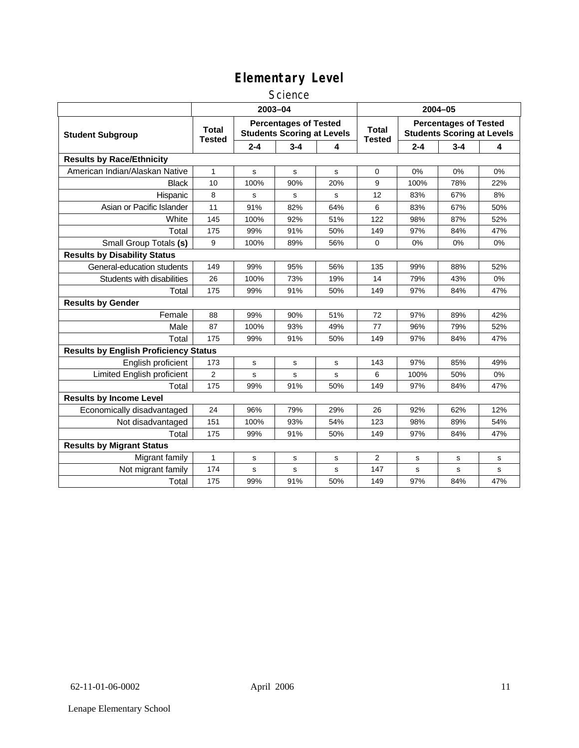#### **Science**

|                                              | 2003-04                                                                                            |             |         |                               |                                                                   | 2004-05 |         |     |  |
|----------------------------------------------|----------------------------------------------------------------------------------------------------|-------------|---------|-------------------------------|-------------------------------------------------------------------|---------|---------|-----|--|
| <b>Student Subgroup</b>                      | <b>Percentages of Tested</b><br><b>Total</b><br><b>Students Scoring at Levels</b><br><b>Tested</b> |             |         | <b>Total</b><br><b>Tested</b> | <b>Percentages of Tested</b><br><b>Students Scoring at Levels</b> |         |         |     |  |
|                                              |                                                                                                    | $2 - 4$     | $3 - 4$ | 4                             |                                                                   | $2 - 4$ | $3 - 4$ | 4   |  |
| <b>Results by Race/Ethnicity</b>             |                                                                                                    |             |         |                               |                                                                   |         |         |     |  |
| American Indian/Alaskan Native               | $\mathbf{1}$                                                                                       | s           | s       | s                             | 0                                                                 | 0%      | 0%      | 0%  |  |
| <b>Black</b>                                 | 10                                                                                                 | 100%        | 90%     | 20%                           | 9                                                                 | 100%    | 78%     | 22% |  |
| Hispanic                                     | 8                                                                                                  | s           | s       | $\mathbf s$                   | 12                                                                | 83%     | 67%     | 8%  |  |
| Asian or Pacific Islander                    | 11                                                                                                 | 91%         | 82%     | 64%                           | 6                                                                 | 83%     | 67%     | 50% |  |
| White                                        | 145                                                                                                | 100%        | 92%     | 51%                           | 122                                                               | 98%     | 87%     | 52% |  |
| Total                                        | 175                                                                                                | 99%         | 91%     | 50%                           | 149                                                               | 97%     | 84%     | 47% |  |
| Small Group Totals (s)                       | 9                                                                                                  | 100%        | 89%     | 56%                           | $\mathbf 0$                                                       | 0%      | 0%      | 0%  |  |
| <b>Results by Disability Status</b>          |                                                                                                    |             |         |                               |                                                                   |         |         |     |  |
| General-education students                   | 149                                                                                                | 99%         | 95%     | 56%                           | 135                                                               | 99%     | 88%     | 52% |  |
| Students with disabilities                   | 26                                                                                                 | 100%        | 73%     | 19%                           | 14                                                                | 79%     | 43%     | 0%  |  |
| Total                                        | 175                                                                                                | 99%         | 91%     | 50%                           | 149                                                               | 97%     | 84%     | 47% |  |
| <b>Results by Gender</b>                     |                                                                                                    |             |         |                               |                                                                   |         |         |     |  |
| Female                                       | 88                                                                                                 | 99%         | 90%     | 51%                           | 72                                                                | 97%     | 89%     | 42% |  |
| Male                                         | 87                                                                                                 | 100%        | 93%     | 49%                           | 77                                                                | 96%     | 79%     | 52% |  |
| Total                                        | 175                                                                                                | 99%         | 91%     | 50%                           | 149                                                               | 97%     | 84%     | 47% |  |
| <b>Results by English Proficiency Status</b> |                                                                                                    |             |         |                               |                                                                   |         |         |     |  |
| English proficient                           | 173                                                                                                | s           | s       | s                             | 143                                                               | 97%     | 85%     | 49% |  |
| Limited English proficient                   | 2                                                                                                  | s           | s       | s                             | 6                                                                 | 100%    | 50%     | 0%  |  |
| Total                                        | 175                                                                                                | 99%         | 91%     | 50%                           | 149                                                               | 97%     | 84%     | 47% |  |
| <b>Results by Income Level</b>               |                                                                                                    |             |         |                               |                                                                   |         |         |     |  |
| Economically disadvantaged                   | 24                                                                                                 | 96%         | 79%     | 29%                           | 26                                                                | 92%     | 62%     | 12% |  |
| Not disadvantaged                            | 151                                                                                                | 100%        | 93%     | 54%                           | 123                                                               | 98%     | 89%     | 54% |  |
| Total                                        | 175                                                                                                | 99%         | 91%     | 50%                           | 149                                                               | 97%     | 84%     | 47% |  |
| <b>Results by Migrant Status</b>             |                                                                                                    |             |         |                               |                                                                   |         |         |     |  |
| Migrant family                               | 1                                                                                                  | $\mathbf s$ | s       | s                             | 2                                                                 | s       | s       | s   |  |
| Not migrant family                           | 174                                                                                                | s           | s       | s                             | 147                                                               | s       | s       | s   |  |
| Total                                        | 175                                                                                                | 99%         | 91%     | 50%                           | 149                                                               | 97%     | 84%     | 47% |  |